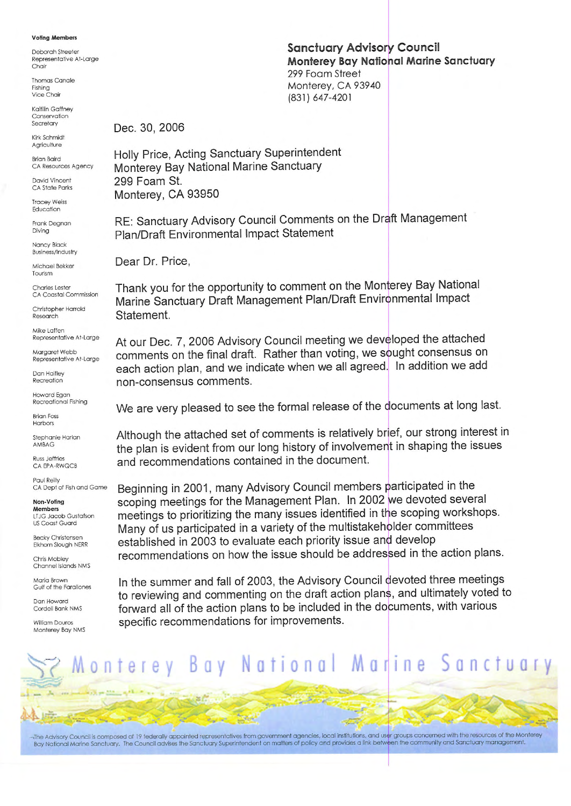#### **Voling Members**

Deborah Streete Representative At-Large Chair

**Thomas Canale** Fishing<br>Vice Chair

Kaitilin Gaffney Conservation Secretary

Kirk Schmidt Agriculture

**Brian Baird** CA Resources Agency

**David Vincent** CA State Parks

**Tracey Weiss** Education

Frank Degnan Diving

Nancy Black **Business/Industry** 

Michael Bekker Tourism

Charles Lester CA Coastal Commission

Christopher Harrold Research

Mike Laffen Representative At-Large

Margaret Webb Representative At-Large

**Dan Haifley** Recreation

Howard Egan Recreational Fishing

**Brian Foss** Harbors

Stephanie Harlan AMBAG Russ leffries

CA EPA-RWQCB

Paul Reilly CA Dept of Fish and Game

Non-Voling **Members** 

LTJG Jacob Gustafson **US Coast Guard** 

ecky Christensen Elkhorn Slough NERR

Chris Mobley Channel Islands NMS

Maria Brown Gulf of the Farallones

Dan Howard Cordell Bank NMS

**William Douros** Monterey Bay NMS **Sanctuary Advisory Council Monterey Bay National Marine Sanctuary** 299 Foam Street Monterey, CA 93940 (831) 647-4201

Dec. 30, 2006

Holly Price, Acting Sanctuary Superintendent Monterey Bay National Marine Sanctuary 299 Foam St. Monterey, CA 93950

RE: Sanctuary Advisory Council Comments on the Draft Management Plan/Draft Environmental Impact Statement

Dear Dr. Price,

Thank you for the opportunity to comment on the Monterey Bay National Marine Sanctuary Draft Management Plan/Draft Environmental Impact Statement.

At our Dec. 7, 2006 Advisory Council meeting we developed the attached comments on the final draft. Rather than voting, we sought consensus on each action plan, and we indicate when we all agreed. In addition we add non-consensus comments.

We are very pleased to see the formal release of the documents at long last.

Although the attached set of comments is relatively brief, our strong interest in the plan is evident from our long history of involvement in shaping the issues and recommendations contained in the document.

Beginning in 2001, many Advisory Council members participated in the scoping meetings for the Management Plan. In 2002 we devoted several meetings to prioritizing the many issues identified in the scoping workshops. Many of us participated in a variety of the multistakeholder committees established in 2003 to evaluate each priority issue and develop recommendations on how the issue should be addressed in the action plans.

In the summer and fall of 2003, the Advisory Council devoted three meetings to reviewing and commenting on the draft action plans, and ultimately voted to forward all of the action plans to be included in the documents, with various specific recommendations for improvements.



The Advisory Council is composed of 19 federally appointed representatives from government agencies, local institutions, and user groups concerned with the resources of the Monterey Bay National Marine Sanctuary. The Council advises the Sanctuary Superintendent on matters of policy and provides a link between the community and Sanctuary management.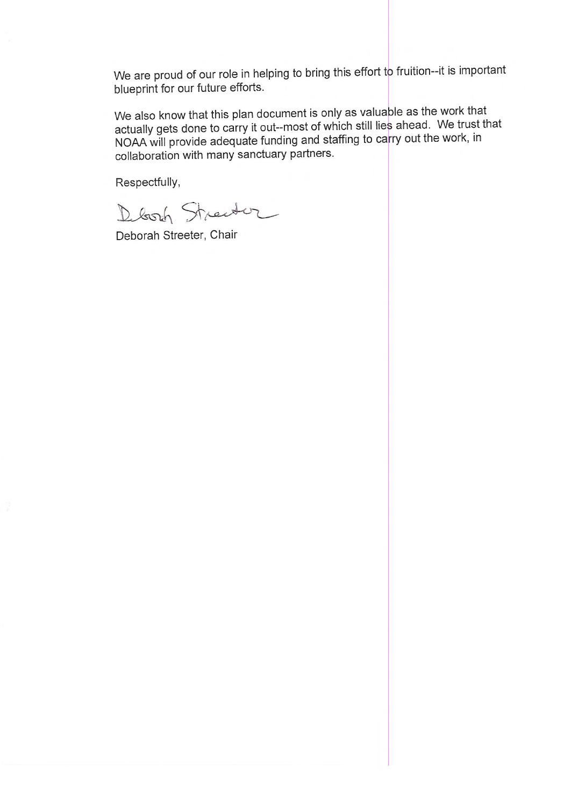We are proud of our role in helping to bring this effort to fruition--it is important blueprint for our future efforts.

We also know that this plan document is only as valuable as the work that actually gets done to carry it out--most of which still lies ahead. We trust that NOAA will provide adequate funding and staffing to carry out the work, in collaboration with many sanctuary partners.

Respectfully,

Deborh Streetur

Deborah Streeter, Chair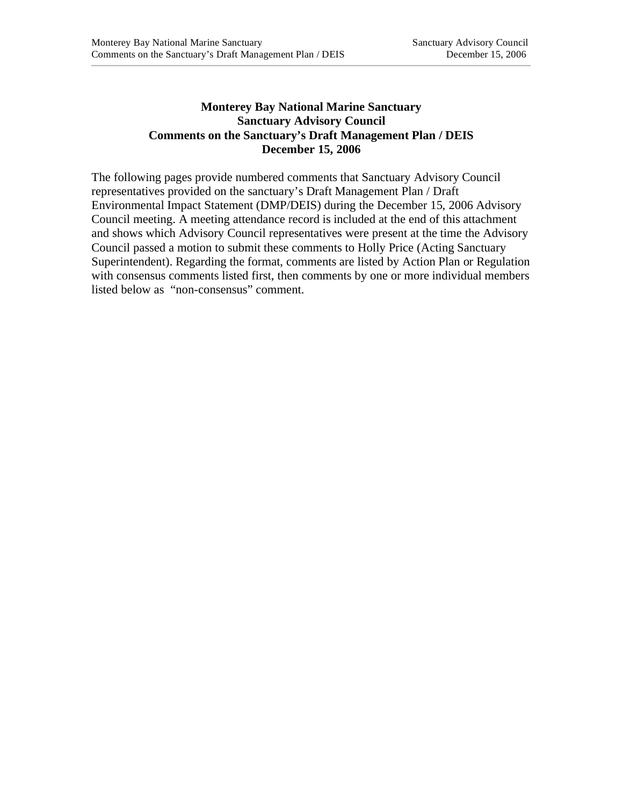# **Monterey Bay National Marine Sanctuary Sanctuary Advisory Council Comments on the Sanctuary's Draft Management Plan / DEIS December 15, 2006**

The following pages provide numbered comments that Sanctuary Advisory Council representatives provided on the sanctuary's Draft Management Plan / Draft Environmental Impact Statement (DMP/DEIS) during the December 15, 2006 Advisory Council meeting. A meeting attendance record is included at the end of this attachment and shows which Advisory Council representatives were present at the time the Advisory Council passed a motion to submit these comments to Holly Price (Acting Sanctuary Superintendent). Regarding the format, comments are listed by Action Plan or Regulation with consensus comments listed first, then comments by one or more individual members listed below as "non-consensus" comment.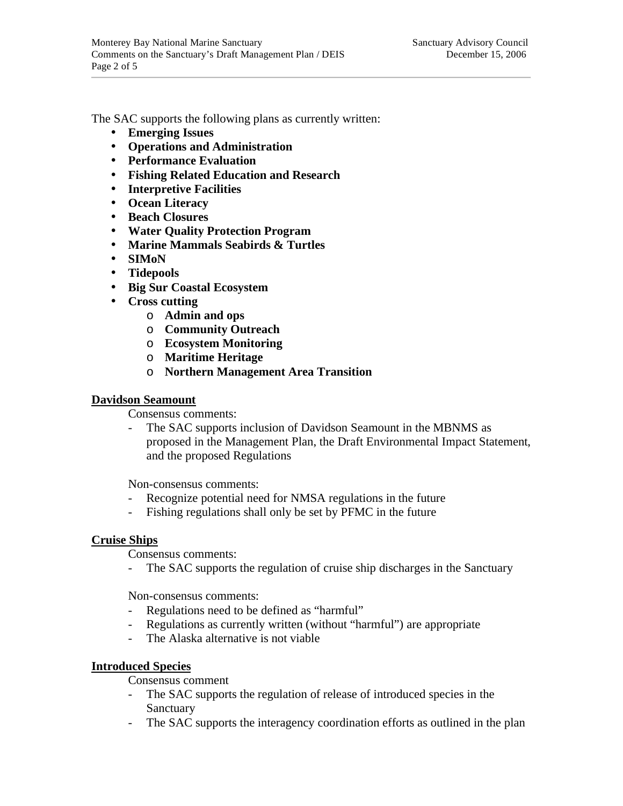The SAC supports the following plans as currently written:

- **Emerging Issues**
- **Operations and Administration**
- **Performance Evaluation**
- **Fishing Related Education and Research**
- **Interpretive Facilities**
- **Ocean Literacy**
- **Beach Closures**
- **Water Quality Protection Program**
- **Marine Mammals Seabirds & Turtles**
- **SIMoN**
- **Tidepools**
- **Big Sur Coastal Ecosystem**
- **Cross cutting** 
	- o **Admin and ops**
	- o **Community Outreach**
	- o **Ecosystem Monitoring**
	- o **Maritime Heritage**
	- o **Northern Management Area Transition**

# **Davidson Seamount**

Consensus comments:

The SAC supports inclusion of Davidson Seamount in the MBNMS as proposed in the Management Plan, the Draft Environmental Impact Statement, and the proposed Regulations

Non-consensus comments:

- Recognize potential need for NMSA regulations in the future
- Fishing regulations shall only be set by PFMC in the future

### **Cruise Ships**

Consensus comments:

- The SAC supports the regulation of cruise ship discharges in the Sanctuary

Non-consensus comments:

- Regulations need to be defined as "harmful"
- Regulations as currently written (without "harmful") are appropriate
- The Alaska alternative is not viable

### **Introduced Species**

Consensus comment

- The SAC supports the regulation of release of introduced species in the **Sanctuary**
- The SAC supports the interagency coordination efforts as outlined in the plan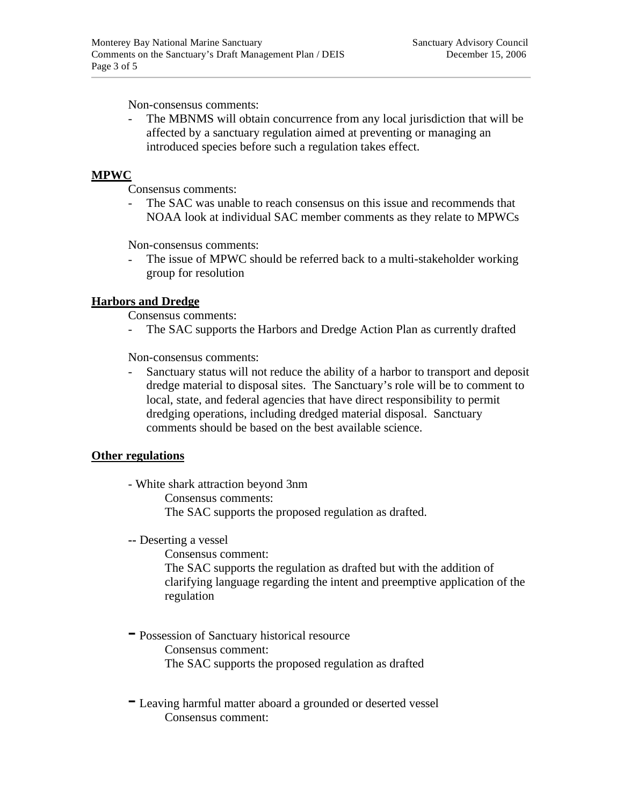Non-consensus comments:

The MBNMS will obtain concurrence from any local jurisdiction that will be affected by a sanctuary regulation aimed at preventing or managing an introduced species before such a regulation takes effect.

## **MPWC**

Consensus comments:

The SAC was unable to reach consensus on this issue and recommends that NOAA look at individual SAC member comments as they relate to MPWCs

Non-consensus comments:

The issue of MPWC should be referred back to a multi-stakeholder working group for resolution

# **Harbors and Dredge**

Consensus comments:

- The SAC supports the Harbors and Dredge Action Plan as currently drafted

Non-consensus comments:

- Sanctuary status will not reduce the ability of a harbor to transport and deposit dredge material to disposal sites. The Sanctuary's role will be to comment to local, state, and federal agencies that have direct responsibility to permit dredging operations, including dredged material disposal. Sanctuary comments should be based on the best available science.

### **Other regulations**

- White shark attraction beyond 3nm

Consensus comments:

The SAC supports the proposed regulation as drafted.

**--** Deserting a vessel

Consensus comment: The SAC supports the regulation as drafted but with the addition of clarifying language regarding the intent and preemptive application of the regulation

- Possession of Sanctuary historical resource Consensus comment: The SAC supports the proposed regulation as drafted
- Leaving harmful matter aboard a grounded or deserted vessel Consensus comment: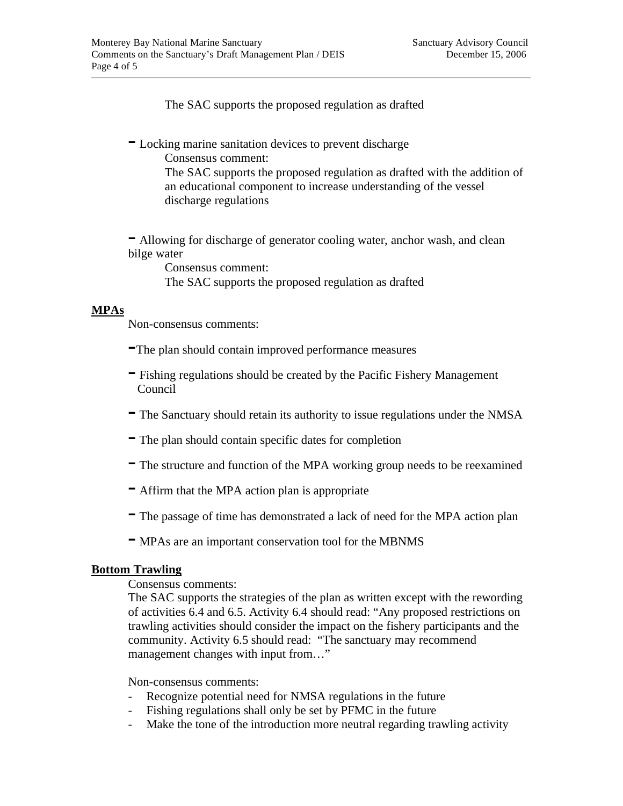The SAC supports the proposed regulation as drafted

- Locking marine sanitation devices to prevent discharge Consensus comment:

The SAC supports the proposed regulation as drafted with the addition of an educational component to increase understanding of the vessel discharge regulations

- Allowing for discharge of generator cooling water, anchor wash, and clean bilge water

Consensus comment: The SAC supports the proposed regulation as drafted

# **MPAs**

Non-consensus comments:

- -The plan should contain improved performance measures
- Fishing regulations should be created by the Pacific Fishery Management Council
- The Sanctuary should retain its authority to issue regulations under the NMSA
- The plan should contain specific dates for completion
- The structure and function of the MPA working group needs to be reexamined
- Affirm that the MPA action plan is appropriate
- The passage of time has demonstrated a lack of need for the MPA action plan
- MPAs are an important conservation tool for the MBNMS

### **Bottom Trawling**

Consensus comments:

The SAC supports the strategies of the plan as written except with the rewording of activities 6.4 and 6.5. Activity 6.4 should read: "Any proposed restrictions on trawling activities should consider the impact on the fishery participants and the community. Activity 6.5 should read: "The sanctuary may recommend management changes with input from..."

Non-consensus comments:

- Recognize potential need for NMSA regulations in the future
- Fishing regulations shall only be set by PFMC in the future
- Make the tone of the introduction more neutral regarding trawling activity